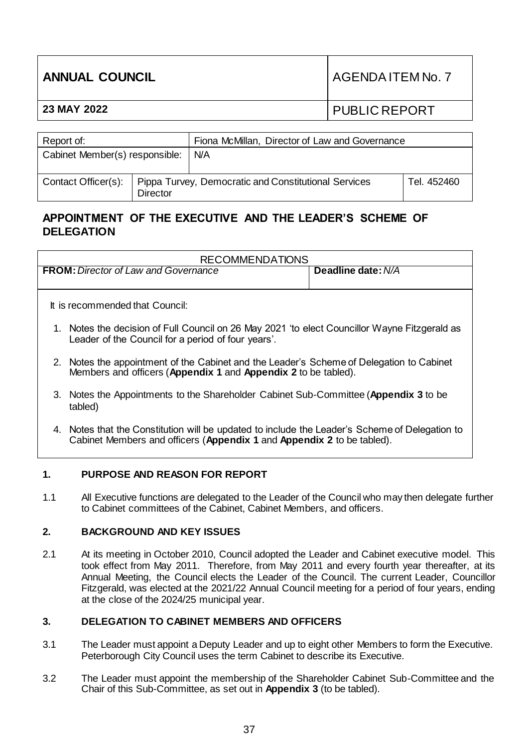| <b>ANNUAL COUNCIL</b> |                                               | AGENDA ITEM No. 7 |
|-----------------------|-----------------------------------------------|-------------------|
| 23 MAY 2022           |                                               | I PUBLIC REPORT   |
|                       |                                               |                   |
| . Renort of:          | Finna McMillan Director of Law and Governance |                   |

| Report of:                     |                 | Fiona McMillan, Director of Law and Governance                             |             |
|--------------------------------|-----------------|----------------------------------------------------------------------------|-------------|
| Cabinet Member(s) responsible: |                 | N/A                                                                        |             |
|                                | <b>Director</b> | Contact Officer(s):   Pippa Turvey, Democratic and Constitutional Services | Tel. 452460 |

# **APPOINTMENT OF THE EXECUTIVE AND THE LEADER'S SCHEME OF DELEGATION**

| <b>RECOMMENDATIONS</b>                                                                                                                                     |                                                                                                                                                                          |                    |  |  |
|------------------------------------------------------------------------------------------------------------------------------------------------------------|--------------------------------------------------------------------------------------------------------------------------------------------------------------------------|--------------------|--|--|
|                                                                                                                                                            | <b>FROM:</b> Director of Law and Governance                                                                                                                              | Deadline date: N/A |  |  |
|                                                                                                                                                            |                                                                                                                                                                          |                    |  |  |
| It is recommended that Council:                                                                                                                            |                                                                                                                                                                          |                    |  |  |
| 1. Notes the decision of Full Council on 26 May 2021 'to elect Councillor Wayne Fitzgerald as<br>Leader of the Council for a period of four years'.        |                                                                                                                                                                          |                    |  |  |
| 2. Notes the appointment of the Cabinet and the Leader's Scheme of Delegation to Cabinet<br>Members and officers (Appendix 1 and Appendix 2 to be tabled). |                                                                                                                                                                          |                    |  |  |
|                                                                                                                                                            | 3. Notes the Appointments to the Shareholder Cabinet Sub-Committee (Appendix 3 to be<br>tabled)                                                                          |                    |  |  |
|                                                                                                                                                            | 4. Notes that the Constitution will be updated to include the Leader's Scheme of Delegation to<br>Cabinet Members and officers (Appendix 1 and Appendix 2 to be tabled). |                    |  |  |

# **1. PURPOSE AND REASON FOR REPORT**

1.1 All Executive functions are delegated to the Leader of the Council who may then delegate further to Cabinet committees of the Cabinet, Cabinet Members, and officers.

# **2. BACKGROUND AND KEY ISSUES**

2.1 At its meeting in October 2010, Council adopted the Leader and Cabinet executive model. This took effect from May 2011. Therefore, from May 2011 and every fourth year thereafter, at its Annual Meeting, the Council elects the Leader of the Council. The current Leader, Councillor Fitzgerald, was elected at the 2021/22 Annual Council meeting for a period of four years, ending at the close of the 2024/25 municipal year.

# **3. DELEGATION TO CABINET MEMBERS AND OFFICERS**

- 3.1 The Leader must appoint a Deputy Leader and up to eight other Members to form the Executive. Peterborough City Council uses the term Cabinet to describe its Executive.
- 3.2 The Leader must appoint the membership of the Shareholder Cabinet Sub-Committee and the Chair of this Sub-Committee, as set out in **Appendix 3** (to be tabled).